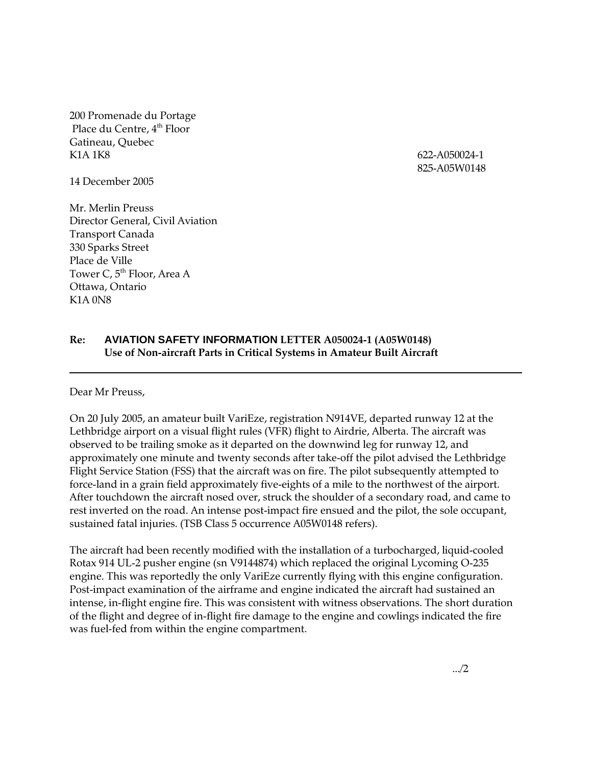200 Promenade du Portage Place du Centre, 4<sup>th</sup> Floor Gatineau, Quebec K1A 1K8 622-A050024-1

825-A05W0148

14 December 2005

Mr. Merlin Preuss Director General, Civil Aviation Transport Canada 330 Sparks Street Place de Ville Tower C, 5<sup>th</sup> Floor, Area A Ottawa, Ontario K1A 0N8

## **Re: AVIATION SAFETY INFORMATION LETTER A050024-1 (A05W0148) Use of Non-aircraft Parts in Critical Systems in Amateur Built Aircraft**

Dear Mr Preuss,

On 20 July 2005, an amateur built VariEze, registration N914VE, departed runway 12 at the Lethbridge airport on a visual flight rules (VFR) flight to Airdrie, Alberta. The aircraft was observed to be trailing smoke as it departed on the downwind leg for runway 12, and approximately one minute and twenty seconds after take-off the pilot advised the Lethbridge Flight Service Station (FSS) that the aircraft was on fire. The pilot subsequently attempted to force-land in a grain field approximately five-eights of a mile to the northwest of the airport. After touchdown the aircraft nosed over, struck the shoulder of a secondary road, and came to rest inverted on the road. An intense post-impact fire ensued and the pilot, the sole occupant, sustained fatal injuries. (TSB Class 5 occurrence A05W0148 refers).

The aircraft had been recently modified with the installation of a turbocharged, liquid-cooled Rotax 914 UL-2 pusher engine (sn V9144874) which replaced the original Lycoming O-235 engine. This was reportedly the only VariEze currently flying with this engine configuration. Post-impact examination of the airframe and engine indicated the aircraft had sustained an intense, in-flight engine fire. This was consistent with witness observations. The short duration of the flight and degree of in-flight fire damage to the engine and cowlings indicated the fire was fuel-fed from within the engine compartment.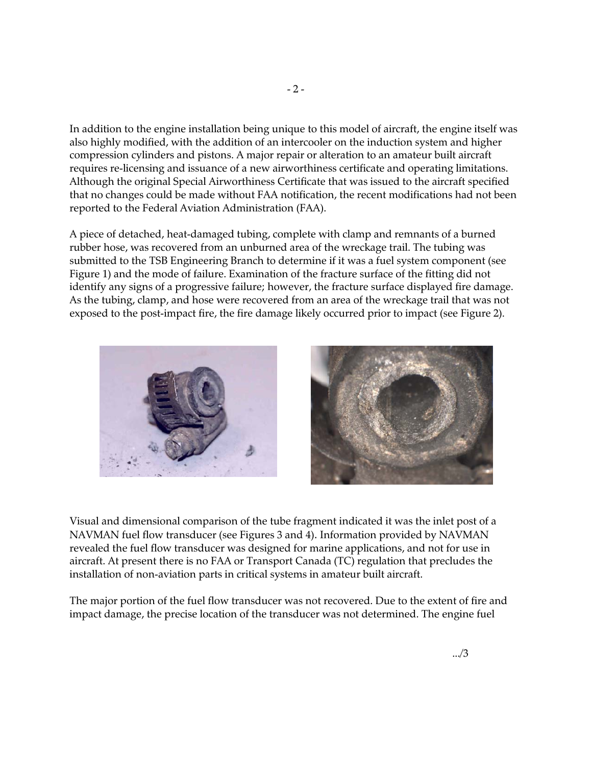In addition to the engine installation being unique to this model of aircraft, the engine itself was also highly modified, with the addition of an intercooler on the induction system and higher compression cylinders and pistons. A major repair or alteration to an amateur built aircraft requires re-licensing and issuance of a new airworthiness certificate and operating limitations. Although the original Special Airworthiness Certificate that was issued to the aircraft specified that no changes could be made without FAA notification, the recent modifications had not been reported to the Federal Aviation Administration (FAA).

A piece of detached, heat-damaged tubing, complete with clamp and remnants of a burned rubber hose, was recovered from an unburned area of the wreckage trail. The tubing was submitted to the TSB Engineering Branch to determine if it was a fuel system component (see Figure 1) and the mode of failure. Examination of the fracture surface of the fitting did not identify any signs of a progressive failure; however, the fracture surface displayed fire damage. As the tubing, clamp, and hose were recovered from an area of the wreckage trail that was not exposed to the post-impact fire, the fire damage likely occurred prior to impact (see Figure 2).





Visual and dimensional comparison of the tube fragment indicated it was the inlet post of a NAVMAN fuel flow transducer (see Figures 3 and 4). Information provided by NAVMAN revealed the fuel flow transducer was designed for marine applications, and not for use in aircraft. At present there is no FAA or Transport Canada (TC) regulation that precludes the installation of non-aviation parts in critical systems in amateur built aircraft.

The major portion of the fuel flow transducer was not recovered. Due to the extent of fire and impact damage, the precise location of the transducer was not determined. The engine fuel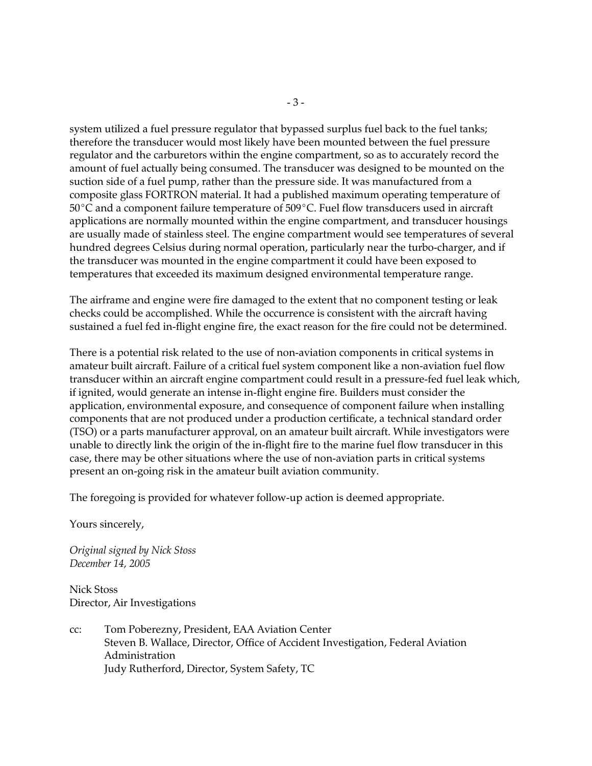system utilized a fuel pressure regulator that bypassed surplus fuel back to the fuel tanks; therefore the transducer would most likely have been mounted between the fuel pressure regulator and the carburetors within the engine compartment, so as to accurately record the amount of fuel actually being consumed. The transducer was designed to be mounted on the suction side of a fuel pump, rather than the pressure side. It was manufactured from a composite glass FORTRON material. It had a published maximum operating temperature of  $50^{\circ}$ C and a component failure temperature of  $509^{\circ}$ C. Fuel flow transducers used in aircraft applications are normally mounted within the engine compartment, and transducer housings are usually made of stainless steel. The engine compartment would see temperatures of several hundred degrees Celsius during normal operation, particularly near the turbo-charger, and if the transducer was mounted in the engine compartment it could have been exposed to temperatures that exceeded its maximum designed environmental temperature range.

The airframe and engine were fire damaged to the extent that no component testing or leak checks could be accomplished. While the occurrence is consistent with the aircraft having sustained a fuel fed in-flight engine fire, the exact reason for the fire could not be determined.

There is a potential risk related to the use of non-aviation components in critical systems in amateur built aircraft. Failure of a critical fuel system component like a non-aviation fuel flow transducer within an aircraft engine compartment could result in a pressure-fed fuel leak which, if ignited, would generate an intense in-flight engine fire. Builders must consider the application, environmental exposure, and consequence of component failure when installing components that are not produced under a production certificate, a technical standard order (TSO) or a parts manufacturer approval, on an amateur built aircraft. While investigators were unable to directly link the origin of the in-flight fire to the marine fuel flow transducer in this case, there may be other situations where the use of non-aviation parts in critical systems present an on-going risk in the amateur built aviation community.

The foregoing is provided for whatever follow-up action is deemed appropriate.

Yours sincerely,

*Original signed by Nick Stoss December 14, 2005* 

Nick Stoss Director, Air Investigations

cc: Tom Poberezny, President, EAA Aviation Center Steven B. Wallace, Director, Office of Accident Investigation, Federal Aviation Administration Judy Rutherford, Director, System Safety, TC